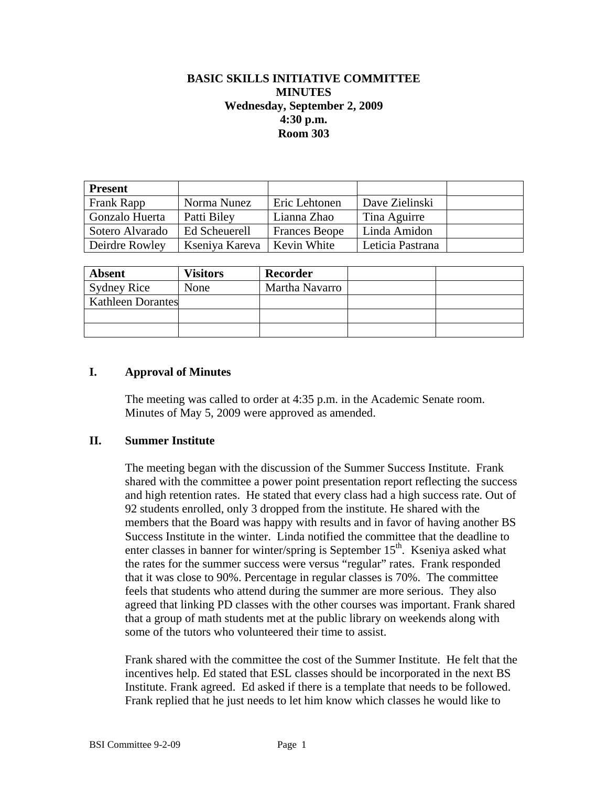# **BASIC SKILLS INITIATIVE COMMITTEE MINUTES Wednesday, September 2, 2009 4:30 p.m. Room 303**

| <b>Present</b>  |                |                      |                  |  |
|-----------------|----------------|----------------------|------------------|--|
| Frank Rapp      | Norma Nunez    | Eric Lehtonen        | Dave Zielinski   |  |
| Gonzalo Huerta  | Patti Biley    | Lianna Zhao          | Tina Aguirre     |  |
| Sotero Alvarado | Ed Scheuerell  | <b>Frances Beope</b> | Linda Amidon     |  |
| Deirdre Rowley  | Kseniya Kareva | Kevin White          | Leticia Pastrana |  |

| <b>Absent</b>            | <b>Visitors</b> | Recorder       |  |
|--------------------------|-----------------|----------------|--|
| <b>Sydney Rice</b>       | None            | Martha Navarro |  |
| <b>Kathleen Dorantes</b> |                 |                |  |
|                          |                 |                |  |
|                          |                 |                |  |

## **I. Approval of Minutes**

The meeting was called to order at 4:35 p.m. in the Academic Senate room. Minutes of May 5, 2009 were approved as amended.

#### **II. Summer Institute**

The meeting began with the discussion of the Summer Success Institute. Frank shared with the committee a power point presentation report reflecting the success and high retention rates. He stated that every class had a high success rate. Out of 92 students enrolled, only 3 dropped from the institute. He shared with the members that the Board was happy with results and in favor of having another BS Success Institute in the winter. Linda notified the committee that the deadline to enter classes in banner for winter/spring is September  $15<sup>th</sup>$ . Kseniya asked what the rates for the summer success were versus "regular" rates. Frank responded that it was close to 90%. Percentage in regular classes is 70%. The committee feels that students who attend during the summer are more serious. They also agreed that linking PD classes with the other courses was important. Frank shared that a group of math students met at the public library on weekends along with some of the tutors who volunteered their time to assist.

Frank shared with the committee the cost of the Summer Institute. He felt that the incentives help. Ed stated that ESL classes should be incorporated in the next BS Institute. Frank agreed. Ed asked if there is a template that needs to be followed. Frank replied that he just needs to let him know which classes he would like to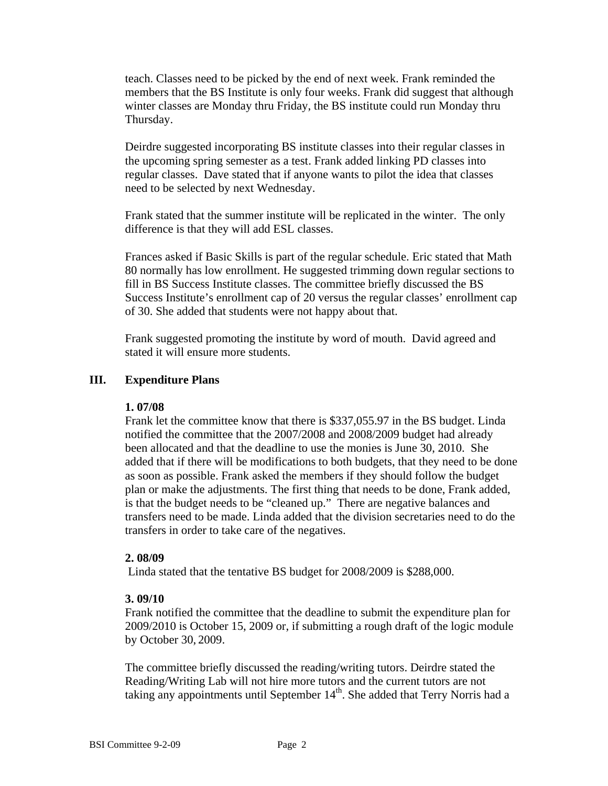teach. Classes need to be picked by the end of next week. Frank reminded the members that the BS Institute is only four weeks. Frank did suggest that although winter classes are Monday thru Friday, the BS institute could run Monday thru Thursday.

Deirdre suggested incorporating BS institute classes into their regular classes in the upcoming spring semester as a test. Frank added linking PD classes into regular classes. Dave stated that if anyone wants to pilot the idea that classes need to be selected by next Wednesday.

Frank stated that the summer institute will be replicated in the winter. The only difference is that they will add ESL classes.

Frances asked if Basic Skills is part of the regular schedule. Eric stated that Math 80 normally has low enrollment. He suggested trimming down regular sections to fill in BS Success Institute classes. The committee briefly discussed the BS Success Institute's enrollment cap of 20 versus the regular classes' enrollment cap of 30. She added that students were not happy about that.

Frank suggested promoting the institute by word of mouth. David agreed and stated it will ensure more students.

## **III. Expenditure Plans**

## **1. 07/08**

Frank let the committee know that there is \$337,055.97 in the BS budget. Linda notified the committee that the 2007/2008 and 2008/2009 budget had already been allocated and that the deadline to use the monies is June 30, 2010. She added that if there will be modifications to both budgets, that they need to be done as soon as possible. Frank asked the members if they should follow the budget plan or make the adjustments. The first thing that needs to be done, Frank added, is that the budget needs to be "cleaned up." There are negative balances and transfers need to be made. Linda added that the division secretaries need to do the transfers in order to take care of the negatives.

## **2. 08/09**

Linda stated that the tentative BS budget for 2008/2009 is \$288,000.

#### **3. 09/10**

Frank notified the committee that the deadline to submit the expenditure plan for 2009/2010 is October 15, 2009 or, if submitting a rough draft of the logic module by October 30, 2009.

The committee briefly discussed the reading/writing tutors. Deirdre stated the Reading/Writing Lab will not hire more tutors and the current tutors are not taking any appointments until September  $14<sup>th</sup>$ . She added that Terry Norris had a